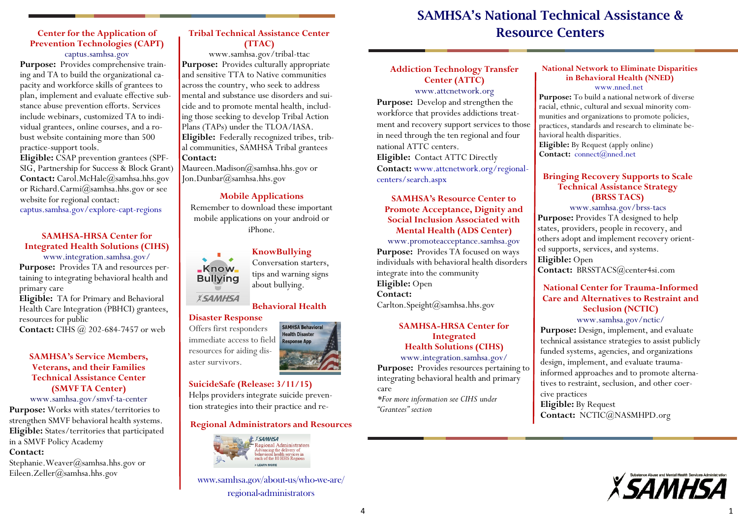#### **Center for the Application of Prevention Technologies (CAPT)** captus.samhsa.gov

**Purpose:** Provides comprehensive training and TA to build the organizational capacity and workforce skills of grantees to plan, implement and evaluate effective substance abuse prevention efforts. Services include webinars, customized TA to individual grantees, online courses, and a robust website containing more than 500 practice-support tools.

**Eligible:** CSAP prevention grantees (SPF-SIG, Partnership for Success & Block Grant) **Contact:** Carol.McHale@samhsa.hhs.gov or Richard.Carmi@samhsa.hhs.gov or see website for regional contact:

captus.samhsa.gov/explore-capt-regions

#### **SAMHSA-HRSA Center for Integrated Health Solutions (CIHS)**

www.integration.samhsa.gov/ **Purpose:** Provides TA and resources pertaining to integrating behavioral health and primary care

**Eligible:** TA for Primary and Behavioral Health Care Integration (PBHCI) grantees, resources for public

**Contact:** CIHS @ 202-684-7457 or web

#### **SAMHSA's Service Members, Veterans, and their Families Technical Assistance Center (SMVF TA Center)**

#### www.samhsa.gov/smvf-ta-center

**Purpose:** Works with states/territories to strengthen SMVF behavioral health systems. **Eligible:** States/territories that participated in a SMVF Policy Academy **Contact:** 

Stephanie.Weaver@samhsa.hhs.gov or Eileen.Zeller@samhsa.hhs.gov

#### **Tribal Technical Assistance Center (TTAC)**

www.samhsa.gov/tribal-ttac **Purpose:** Provides culturally appropriate and sensitive TTA to Native communities across the country, who seek to address mental and substance use disorders and suicide and to promote mental health, including those seeking to develop Tribal Action Plans (TAPs) under the TLOA/IASA. **Eligible:** Federally recognized tribes, tribal communities, SAMHSA Tribal grantees **Contact:** 

Maureen.Madison@samhsa.hhs.gov or Jon.Dunbar@samhsa.hhs.gov

#### **Mobile Applications**

Remember to download these important mobile applications on your android or iPhone.



**KnowBullying** Conversation starters, tips and warning signs about bullying.

## **Behavioral Health**

**SAMHSA Behavioral Health Disaster Response App** 

#### **Disaster Response**

Offers first responders immediate access to field resources for aiding disaster survivors.

## **SuicideSafe (Release: 3/11/15)**

Helps providers integrate suicide prevention strategies into their practice and re-

#### **Regional Administrators and Resources**



www.samhsa.gov/about-us/who-we-are/ regional-administrators

# **SAMHSA's National Technical Assistance & Resource Centers**

## **Addiction Technology Transfer Center (ATTC)**

www.attcnetwork.org

**Purpose:** Develop and strengthen the workforce that provides addictions treatment and recovery support services to those in need through the ten regional and four national ATTC centers. **Eligible:** Contact ATTC Directly

**Contact:** www.attcnetwork.org/regionalcenters/search.aspx

#### **SAMHSA's Resource Center to Promote Acceptance, Dignity and Social Inclusion Associated with Mental Health (ADS Center)**

www.promoteacceptance.samhsa.gov Purpose: Provides TA focused on ways individuals with behavioral health disorders integrate into the community **Eligible:** Open **Contact:**  Carlton.Speight@samhsa.hhs.gov

### **SAMHSA-HRSA Center for Integrated Health Solutions (CIHS)**

www.integration.samhsa.gov/ Purpose: Provides resources pertaining to integrating behavioral health and primary care

*\*For more information see CIHS under "Grantees" section*

#### **National Network to Eliminate Disparities in Behavioral Health (NNED)**

#### [www.nned.net](http://www.nned.net)

**Purpose:** To build a national network of diverse racial, ethnic, cultural and sexual minority communities and organizations to promote policies, practices, standards and research to eliminate behavioral health disparities. **Eligible:** By Request (apply online)

## **Contact:** [connect@nned.net](mailto:connect@nned.net)

#### **Bringing Recovery Supports to Scale Technical Assistance Strategy (BRSS TACS)**

www.samhsa.gov/brss-tacs **Purpose:** Provides TA designed to help states, providers, people in recovery, and others adopt and implement recovery oriented supports, services, and systems. **Eligible:** Open **Contact:** BRSSTACS@center4si.com

#### **National Center for Trauma-Informed Care and Alternatives to Restraint and Seclusion (NCTIC)** www.samhsa.gov/nctic/

Purpose: Design, implement, and evaluate technical assistance strategies to assist publicly funded systems, agencies, and organizations design, implement, and evaluate traumainformed approaches and to promote alternatives to restraint, seclusion, and other coercive practices **Eligible:** By Request **Contact:** NCTIC@NASMHPD.org